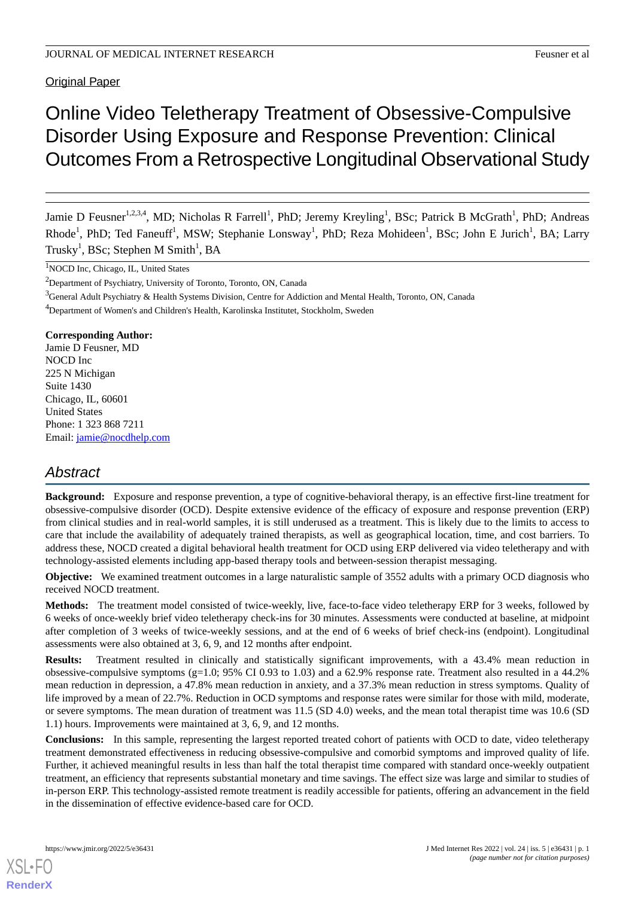**Original Paper** 

# Online Video Teletherapy Treatment of Obsessive-Compulsive Disorder Using Exposure and Response Prevention: Clinical Outcomes From a Retrospective Longitudinal Observational Study

Jamie D Feusner<sup>1,2,3,4</sup>, MD; Nicholas R Farrell<sup>1</sup>, PhD; Jeremy Kreyling<sup>1</sup>, BSc; Patrick B McGrath<sup>1</sup>, PhD; Andreas Rhode<sup>1</sup>, PhD; Ted Faneuff<sup>1</sup>, MSW; Stephanie Lonsway<sup>1</sup>, PhD; Reza Mohideen<sup>1</sup>, BSc; John E Jurich<sup>1</sup>, BA; Larry Trusky $^1$ , BSc; Stephen M Smith $^1$ , BA

<sup>1</sup>NOCD Inc, Chicago, IL, United States

<sup>2</sup>Department of Psychiatry, University of Toronto, Toronto, ON, Canada

<sup>3</sup>General Adult Psychiatry & Health Systems Division, Centre for Addiction and Mental Health, Toronto, ON, Canada

<sup>4</sup>Department of Women's and Children's Health, Karolinska Institutet, Stockholm, Sweden

**Corresponding Author:**

Jamie D Feusner, MD NOCD Inc 225 N Michigan Suite 1430 Chicago, IL, 60601 United States Phone: 1 323 868 7211 Email: [jamie@nocdhelp.com](mailto:jamie@nocdhelp.com)

# *Abstract*

**Background:** Exposure and response prevention, a type of cognitive-behavioral therapy, is an effective first-line treatment for obsessive-compulsive disorder (OCD). Despite extensive evidence of the efficacy of exposure and response prevention (ERP) from clinical studies and in real-world samples, it is still underused as a treatment. This is likely due to the limits to access to care that include the availability of adequately trained therapists, as well as geographical location, time, and cost barriers. To address these, NOCD created a digital behavioral health treatment for OCD using ERP delivered via video teletherapy and with technology-assisted elements including app-based therapy tools and between-session therapist messaging.

**Objective:** We examined treatment outcomes in a large naturalistic sample of 3552 adults with a primary OCD diagnosis who received NOCD treatment.

**Methods:** The treatment model consisted of twice-weekly, live, face-to-face video teletherapy ERP for 3 weeks, followed by 6 weeks of once-weekly brief video teletherapy check-ins for 30 minutes. Assessments were conducted at baseline, at midpoint after completion of 3 weeks of twice-weekly sessions, and at the end of 6 weeks of brief check-ins (endpoint). Longitudinal assessments were also obtained at 3, 6, 9, and 12 months after endpoint.

**Results:** Treatment resulted in clinically and statistically significant improvements, with a 43.4% mean reduction in obsessive-compulsive symptoms (g=1.0; 95% CI 0.93 to 1.03) and a 62.9% response rate. Treatment also resulted in a 44.2% mean reduction in depression, a 47.8% mean reduction in anxiety, and a 37.3% mean reduction in stress symptoms. Quality of life improved by a mean of 22.7%. Reduction in OCD symptoms and response rates were similar for those with mild, moderate, or severe symptoms. The mean duration of treatment was 11.5 (SD 4.0) weeks, and the mean total therapist time was 10.6 (SD 1.1) hours. Improvements were maintained at 3, 6, 9, and 12 months.

**Conclusions:** In this sample, representing the largest reported treated cohort of patients with OCD to date, video teletherapy treatment demonstrated effectiveness in reducing obsessive-compulsive and comorbid symptoms and improved quality of life. Further, it achieved meaningful results in less than half the total therapist time compared with standard once-weekly outpatient treatment, an efficiency that represents substantial monetary and time savings. The effect size was large and similar to studies of in-person ERP. This technology-assisted remote treatment is readily accessible for patients, offering an advancement in the field in the dissemination of effective evidence-based care for OCD.

[XSL](http://www.w3.org/Style/XSL)•FO **[RenderX](http://www.renderx.com/)**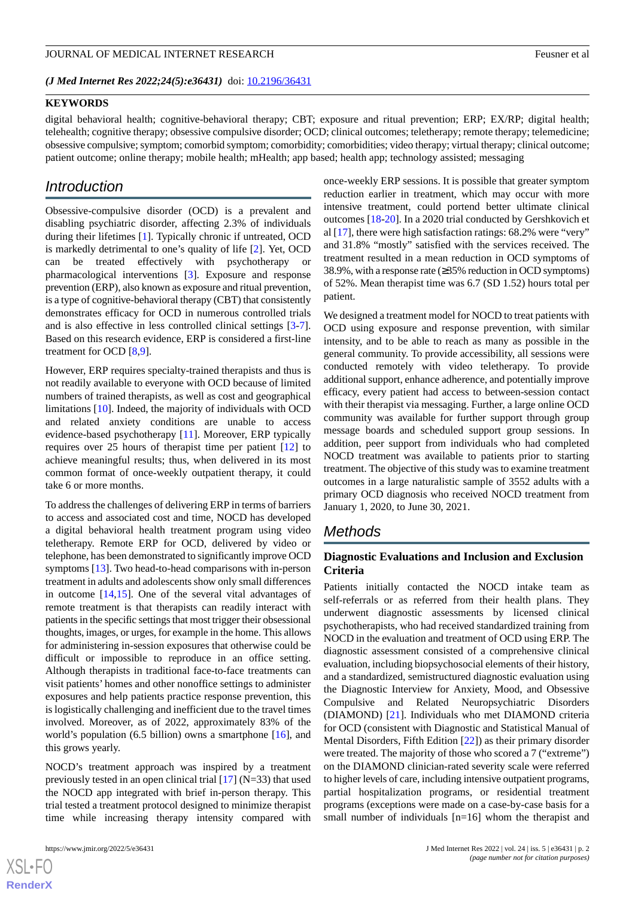*(J Med Internet Res 2022;24(5):e36431)* doi:  $10.2196/36431$ 

#### **KEYWORDS**

digital behavioral health; cognitive-behavioral therapy; CBT; exposure and ritual prevention; ERP; EX/RP; digital health; telehealth; cognitive therapy; obsessive compulsive disorder; OCD; clinical outcomes; teletherapy; remote therapy; telemedicine; obsessive compulsive; symptom; comorbid symptom; comorbidity; comorbidities; video therapy; virtual therapy; clinical outcome; patient outcome; online therapy; mobile health; mHealth; app based; health app; technology assisted; messaging

# *Introduction*

Obsessive-compulsive disorder (OCD) is a prevalent and disabling psychiatric disorder, affecting 2.3% of individuals during their lifetimes [\[1](#page-9-0)]. Typically chronic if untreated, OCD is markedly detrimental to one's quality of life [[2\]](#page-9-1). Yet, OCD can be treated effectively with psychotherapy or pharmacological interventions [\[3](#page-9-2)]. Exposure and response prevention (ERP), also known as exposure and ritual prevention, is a type of cognitive-behavioral therapy (CBT) that consistently demonstrates efficacy for OCD in numerous controlled trials and is also effective in less controlled clinical settings [\[3-](#page-9-2)[7\]](#page-9-3). Based on this research evidence, ERP is considered a first-line treatment for OCD [[8](#page-9-4)[,9](#page-9-5)].

However, ERP requires specialty-trained therapists and thus is not readily available to everyone with OCD because of limited numbers of trained therapists, as well as cost and geographical limitations [\[10](#page-10-0)]. Indeed, the majority of individuals with OCD and related anxiety conditions are unable to access evidence-based psychotherapy [[11\]](#page-10-1). Moreover, ERP typically requires over 25 hours of therapist time per patient [\[12](#page-10-2)] to achieve meaningful results; thus, when delivered in its most common format of once-weekly outpatient therapy, it could take 6 or more months.

To address the challenges of delivering ERP in terms of barriers to access and associated cost and time, NOCD has developed a digital behavioral health treatment program using video teletherapy. Remote ERP for OCD, delivered by video or telephone, has been demonstrated to significantly improve OCD symptoms [\[13](#page-10-3)]. Two head-to-head comparisons with in-person treatment in adults and adolescents show only small differences in outcome [[14](#page-10-4)[,15](#page-10-5)]. One of the several vital advantages of remote treatment is that therapists can readily interact with patients in the specific settings that most trigger their obsessional thoughts, images, or urges, for example in the home. This allows for administering in-session exposures that otherwise could be difficult or impossible to reproduce in an office setting. Although therapists in traditional face-to-face treatments can visit patients' homes and other nonoffice settings to administer exposures and help patients practice response prevention, this is logistically challenging and inefficient due to the travel times involved. Moreover, as of 2022, approximately 83% of the world's population (6.5 billion) owns a smartphone [\[16](#page-10-6)], and this grows yearly.

NOCD's treatment approach was inspired by a treatment previously tested in an open clinical trial  $[17]$  $[17]$  (N=33) that used the NOCD app integrated with brief in-person therapy. This trial tested a treatment protocol designed to minimize therapist time while increasing therapy intensity compared with

once-weekly ERP sessions. It is possible that greater symptom reduction earlier in treatment, which may occur with more intensive treatment, could portend better ultimate clinical outcomes [[18-](#page-10-8)[20\]](#page-10-9). In a 2020 trial conducted by Gershkovich et al [\[17](#page-10-7)], there were high satisfaction ratings: 68.2% were "very" and 31.8% "mostly" satisfied with the services received. The treatment resulted in a mean reduction in OCD symptoms of 38.9%, with a response rate (≥35% reduction in OCD symptoms) of 52%. Mean therapist time was 6.7 (SD 1.52) hours total per patient.

We designed a treatment model for NOCD to treat patients with OCD using exposure and response prevention, with similar intensity, and to be able to reach as many as possible in the general community. To provide accessibility, all sessions were conducted remotely with video teletherapy. To provide additional support, enhance adherence, and potentially improve efficacy, every patient had access to between-session contact with their therapist via messaging. Further, a large online OCD community was available for further support through group message boards and scheduled support group sessions. In addition, peer support from individuals who had completed NOCD treatment was available to patients prior to starting treatment. The objective of this study was to examine treatment outcomes in a large naturalistic sample of 3552 adults with a primary OCD diagnosis who received NOCD treatment from January 1, 2020, to June 30, 2021.

# *Methods*

### **Diagnostic Evaluations and Inclusion and Exclusion Criteria**

Patients initially contacted the NOCD intake team as self-referrals or as referred from their health plans. They underwent diagnostic assessments by licensed clinical psychotherapists, who had received standardized training from NOCD in the evaluation and treatment of OCD using ERP. The diagnostic assessment consisted of a comprehensive clinical evaluation, including biopsychosocial elements of their history, and a standardized, semistructured diagnostic evaluation using the Diagnostic Interview for Anxiety, Mood, and Obsessive Compulsive and Related Neuropsychiatric Disorders (DIAMOND) [[21\]](#page-10-10). Individuals who met DIAMOND criteria for OCD (consistent with Diagnostic and Statistical Manual of Mental Disorders, Fifth Edition [\[22](#page-10-11)]) as their primary disorder were treated. The majority of those who scored a 7 ("extreme") on the DIAMOND clinician-rated severity scale were referred to higher levels of care, including intensive outpatient programs, partial hospitalization programs, or residential treatment programs (exceptions were made on a case-by-case basis for a small number of individuals [n=16] whom the therapist and

```
XS-FO
RenderX
```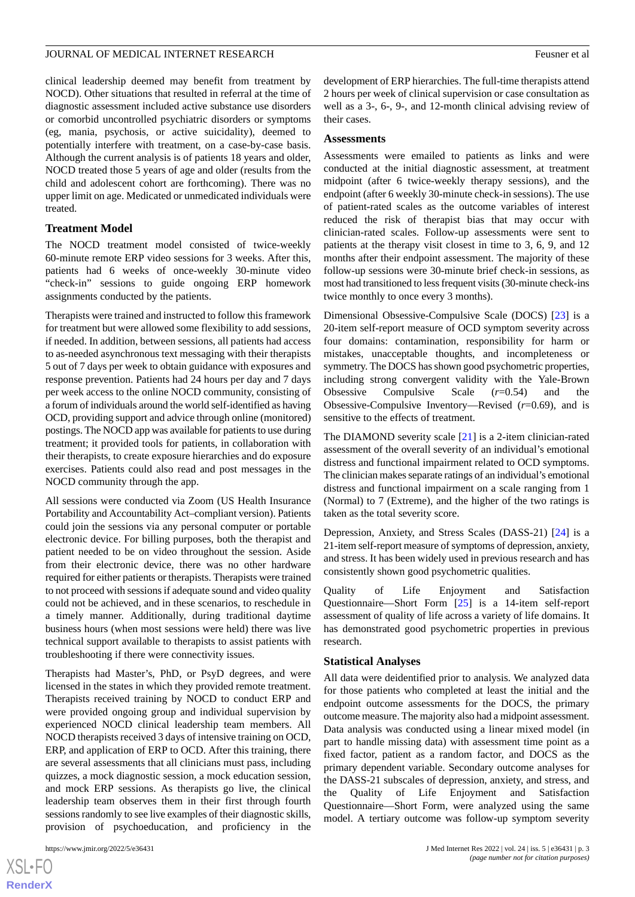clinical leadership deemed may benefit from treatment by NOCD). Other situations that resulted in referral at the time of diagnostic assessment included active substance use disorders or comorbid uncontrolled psychiatric disorders or symptoms (eg, mania, psychosis, or active suicidality), deemed to potentially interfere with treatment, on a case-by-case basis. Although the current analysis is of patients 18 years and older, NOCD treated those 5 years of age and older (results from the child and adolescent cohort are forthcoming). There was no upper limit on age. Medicated or unmedicated individuals were treated.

#### **Treatment Model**

The NOCD treatment model consisted of twice-weekly 60-minute remote ERP video sessions for 3 weeks. After this, patients had 6 weeks of once-weekly 30-minute video "check-in" sessions to guide ongoing ERP homework assignments conducted by the patients.

Therapists were trained and instructed to follow this framework for treatment but were allowed some flexibility to add sessions, if needed. In addition, between sessions, all patients had access to as-needed asynchronous text messaging with their therapists 5 out of 7 days per week to obtain guidance with exposures and response prevention. Patients had 24 hours per day and 7 days per week access to the online NOCD community, consisting of a forum of individuals around the world self-identified as having OCD, providing support and advice through online (monitored) postings. The NOCD app was available for patients to use during treatment; it provided tools for patients, in collaboration with their therapists, to create exposure hierarchies and do exposure exercises. Patients could also read and post messages in the NOCD community through the app.

All sessions were conducted via Zoom (US Health Insurance Portability and Accountability Act–compliant version). Patients could join the sessions via any personal computer or portable electronic device. For billing purposes, both the therapist and patient needed to be on video throughout the session. Aside from their electronic device, there was no other hardware required for either patients or therapists. Therapists were trained to not proceed with sessions if adequate sound and video quality could not be achieved, and in these scenarios, to reschedule in a timely manner. Additionally, during traditional daytime business hours (when most sessions were held) there was live technical support available to therapists to assist patients with troubleshooting if there were connectivity issues.

Therapists had Master's, PhD, or PsyD degrees, and were licensed in the states in which they provided remote treatment. Therapists received training by NOCD to conduct ERP and were provided ongoing group and individual supervision by experienced NOCD clinical leadership team members. All NOCD therapists received 3 days of intensive training on OCD, ERP, and application of ERP to OCD. After this training, there are several assessments that all clinicians must pass, including quizzes, a mock diagnostic session, a mock education session, and mock ERP sessions. As therapists go live, the clinical leadership team observes them in their first through fourth sessions randomly to see live examples of their diagnostic skills, provision of psychoeducation, and proficiency in the

development of ERP hierarchies. The full-time therapists attend 2 hours per week of clinical supervision or case consultation as well as a 3-, 6-, 9-, and 12-month clinical advising review of their cases.

#### **Assessments**

Assessments were emailed to patients as links and were conducted at the initial diagnostic assessment, at treatment midpoint (after 6 twice-weekly therapy sessions), and the endpoint (after 6 weekly 30-minute check-in sessions). The use of patient-rated scales as the outcome variables of interest reduced the risk of therapist bias that may occur with clinician-rated scales. Follow-up assessments were sent to patients at the therapy visit closest in time to 3, 6, 9, and 12 months after their endpoint assessment. The majority of these follow-up sessions were 30-minute brief check-in sessions, as most had transitioned to less frequent visits (30-minute check-ins twice monthly to once every 3 months).

Dimensional Obsessive-Compulsive Scale (DOCS) [\[23](#page-10-12)] is a 20-item self-report measure of OCD symptom severity across four domains: contamination, responsibility for harm or mistakes, unacceptable thoughts, and incompleteness or symmetry. The DOCS has shown good psychometric properties, including strong convergent validity with the Yale-Brown Obsessive Compulsive Scale (*r*=0.54) and the Obsessive-Compulsive Inventory—Revised (*r*=0.69), and is sensitive to the effects of treatment.

The DIAMOND severity scale [\[21](#page-10-10)] is a 2-item clinician-rated assessment of the overall severity of an individual's emotional distress and functional impairment related to OCD symptoms. The clinician makes separate ratings of an individual's emotional distress and functional impairment on a scale ranging from 1 (Normal) to 7 (Extreme), and the higher of the two ratings is taken as the total severity score.

Depression, Anxiety, and Stress Scales (DASS-21) [[24\]](#page-10-13) is a 21-item self-report measure of symptoms of depression, anxiety, and stress. It has been widely used in previous research and has consistently shown good psychometric qualities.

Quality of Life Enjoyment and Satisfaction Questionnaire—Short Form [\[25](#page-10-14)] is a 14-item self-report assessment of quality of life across a variety of life domains. It has demonstrated good psychometric properties in previous research.

#### **Statistical Analyses**

All data were deidentified prior to analysis. We analyzed data for those patients who completed at least the initial and the endpoint outcome assessments for the DOCS, the primary outcome measure. The majority also had a midpoint assessment. Data analysis was conducted using a linear mixed model (in part to handle missing data) with assessment time point as a fixed factor, patient as a random factor, and DOCS as the primary dependent variable. Secondary outcome analyses for the DASS-21 subscales of depression, anxiety, and stress, and the Quality of Life Enjoyment and Satisfaction Questionnaire—Short Form, were analyzed using the same model. A tertiary outcome was follow-up symptom severity

```
XSL•FO
RenderX
```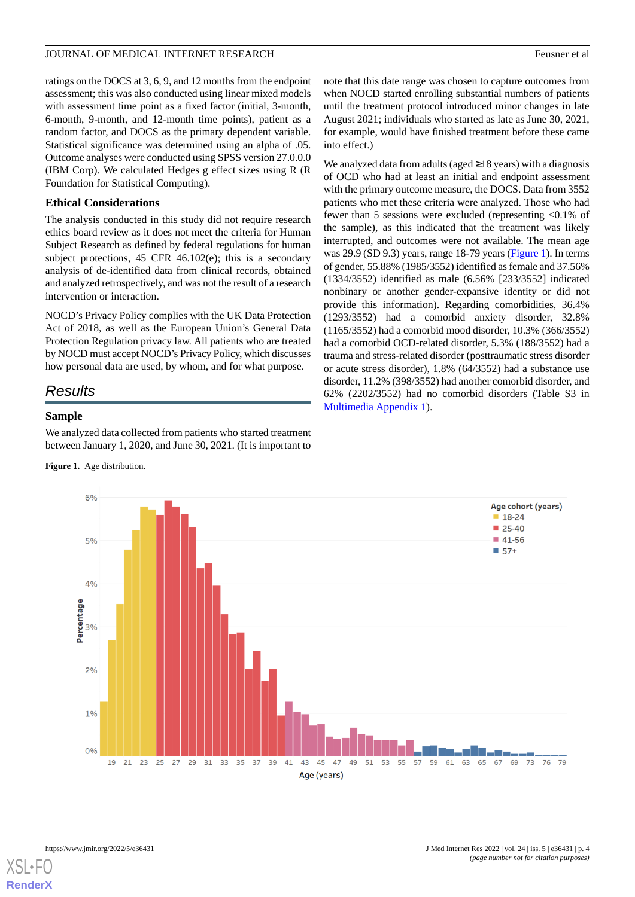ratings on the DOCS at 3, 6, 9, and 12 months from the endpoint assessment; this was also conducted using linear mixed models with assessment time point as a fixed factor (initial, 3-month, 6-month, 9-month, and 12-month time points), patient as a random factor, and DOCS as the primary dependent variable. Statistical significance was determined using an alpha of .05. Outcome analyses were conducted using SPSS version 27.0.0.0 (IBM Corp). We calculated Hedges g effect sizes using R (R Foundation for Statistical Computing).

#### **Ethical Considerations**

The analysis conducted in this study did not require research ethics board review as it does not meet the criteria for Human Subject Research as defined by federal regulations for human subject protections, 45 CFR 46.102(e); this is a secondary analysis of de-identified data from clinical records, obtained and analyzed retrospectively, and was not the result of a research intervention or interaction.

NOCD's Privacy Policy complies with the UK Data Protection Act of 2018, as well as the European Union's General Data Protection Regulation privacy law. All patients who are treated by NOCD must accept NOCD's Privacy Policy, which discusses how personal data are used, by whom, and for what purpose.

# *Results*

#### <span id="page-3-0"></span>**Sample**

We analyzed data collected from patients who started treatment between January 1, 2020, and June 30, 2021. (It is important to

**Figure 1.** Age distribution.

note that this date range was chosen to capture outcomes from when NOCD started enrolling substantial numbers of patients until the treatment protocol introduced minor changes in late August 2021; individuals who started as late as June 30, 2021, for example, would have finished treatment before these came into effect.)

We analyzed data from adults (aged  $\geq$ 18 years) with a diagnosis of OCD who had at least an initial and endpoint assessment with the primary outcome measure, the DOCS. Data from 3552 patients who met these criteria were analyzed. Those who had fewer than 5 sessions were excluded (representing <0.1% of the sample), as this indicated that the treatment was likely interrupted, and outcomes were not available. The mean age was 29.9 (SD 9.3) years, range 18-79 years ([Figure 1](#page-3-0)). In terms of gender, 55.88% (1985/3552) identified as female and 37.56% (1334/3552) identified as male (6.56% [233/3552] indicated nonbinary or another gender-expansive identity or did not provide this information). Regarding comorbidities, 36.4% (1293/3552) had a comorbid anxiety disorder, 32.8% (1165/3552) had a comorbid mood disorder, 10.3% (366/3552) had a comorbid OCD-related disorder, 5.3% (188/3552) had a trauma and stress-related disorder (posttraumatic stress disorder or acute stress disorder), 1.8% (64/3552) had a substance use disorder, 11.2% (398/3552) had another comorbid disorder, and 62% (2202/3552) had no comorbid disorders (Table S3 in [Multimedia Appendix 1\)](#page-9-6).



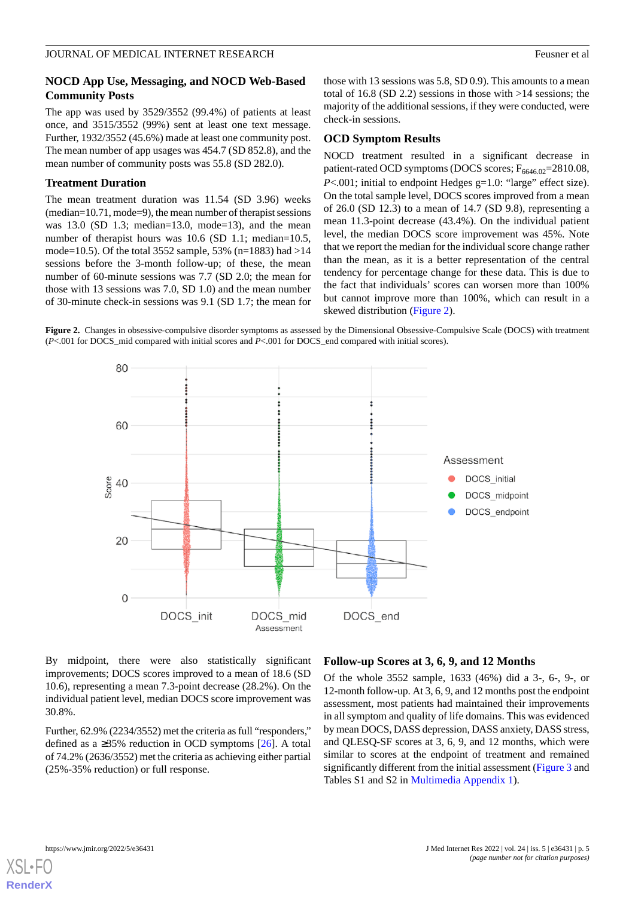#### **NOCD App Use, Messaging, and NOCD Web-Based Community Posts**

The app was used by 3529/3552 (99.4%) of patients at least once, and 3515/3552 (99%) sent at least one text message. Further, 1932/3552 (45.6%) made at least one community post. The mean number of app usages was 454.7 (SD 852.8), and the mean number of community posts was 55.8 (SD 282.0).

#### **Treatment Duration**

The mean treatment duration was 11.54 (SD 3.96) weeks (median=10.71, mode=9), the mean number of therapist sessions was 13.0 (SD 1.3; median=13.0, mode=13), and the mean number of therapist hours was 10.6 (SD 1.1; median=10.5, mode=10.5). Of the total 3552 sample, 53% (n=1883) had >14 sessions before the 3-month follow-up; of these, the mean number of 60-minute sessions was 7.7 (SD 2.0; the mean for those with 13 sessions was 7.0, SD 1.0) and the mean number of 30-minute check-in sessions was 9.1 (SD 1.7; the mean for

those with 13 sessions was 5.8, SD 0.9). This amounts to a mean total of 16.8 (SD 2.2) sessions in those with >14 sessions; the majority of the additional sessions, if they were conducted, were check-in sessions.

#### **OCD Symptom Results**

NOCD treatment resulted in a significant decrease in patient-rated OCD symptoms (DOCS scores;  $F_{6646.02}$ =2810.08, *P*<.001; initial to endpoint Hedges  $g=1.0$ : "large" effect size). On the total sample level, DOCS scores improved from a mean of 26.0 (SD 12.3) to a mean of 14.7 (SD 9.8), representing a mean 11.3-point decrease (43.4%). On the individual patient level, the median DOCS score improvement was 45%. Note that we report the median for the individual score change rather than the mean, as it is a better representation of the central tendency for percentage change for these data. This is due to the fact that individuals' scores can worsen more than 100% but cannot improve more than 100%, which can result in a skewed distribution ([Figure 2](#page-4-0)).

<span id="page-4-0"></span>**Figure 2.** Changes in obsessive-compulsive disorder symptoms as assessed by the Dimensional Obsessive-Compulsive Scale (DOCS) with treatment (*P*<.001 for DOCS\_mid compared with initial scores and *P*<.001 for DOCS\_end compared with initial scores).



By midpoint, there were also statistically significant improvements; DOCS scores improved to a mean of 18.6 (SD 10.6), representing a mean 7.3-point decrease (28.2%). On the individual patient level, median DOCS score improvement was 30.8%.

Further, 62.9% (2234/3552) met the criteria as full "responders," defined as a  $\geq$ 35% reduction in OCD symptoms [[26\]](#page-10-15). A total of 74.2% (2636/3552) met the criteria as achieving either partial (25%-35% reduction) or full response.

#### **Follow-up Scores at 3, 6, 9, and 12 Months**

Of the whole 3552 sample, 1633 (46%) did a 3-, 6-, 9-, or 12-month follow-up. At 3, 6, 9, and 12 months post the endpoint assessment, most patients had maintained their improvements in all symptom and quality of life domains. This was evidenced by mean DOCS, DASS depression, DASS anxiety, DASS stress, and QLESQ-SF scores at 3, 6, 9, and 12 months, which were similar to scores at the endpoint of treatment and remained significantly different from the initial assessment [\(Figure 3](#page-5-0) and Tables S1 and S2 in [Multimedia Appendix 1](#page-9-6)).

**[RenderX](http://www.renderx.com/)**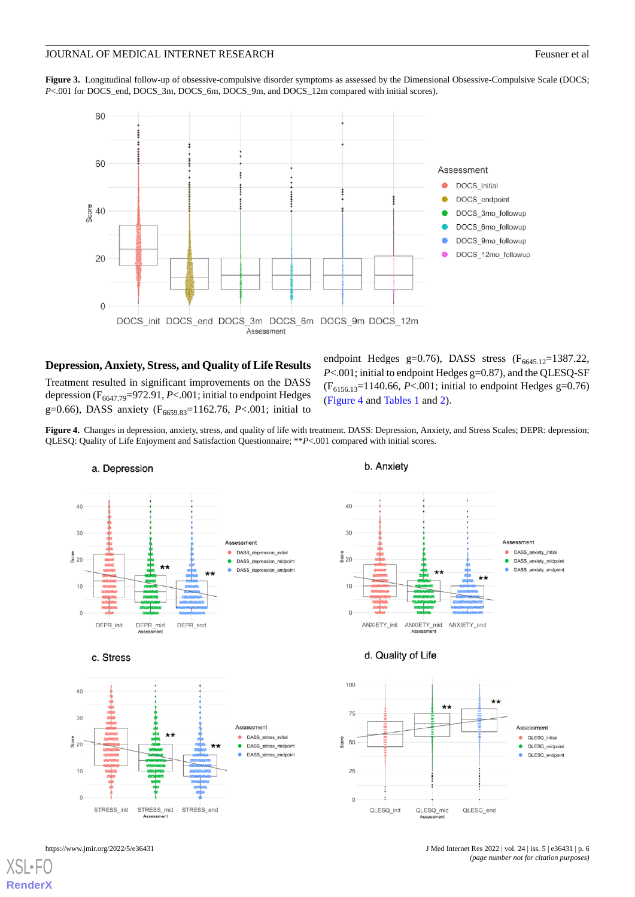<span id="page-5-0"></span>**Figure 3.** Longitudinal follow-up of obsessive-compulsive disorder symptoms as assessed by the Dimensional Obsessive-Compulsive Scale (DOCS; P<.001 for DOCS\_end, DOCS\_3m, DOCS\_6m, DOCS\_9m, and DOCS\_12m compared with initial scores).



# **Depression, Anxiety, Stress, and Quality of Life Results**

<span id="page-5-1"></span>Treatment resulted in significant improvements on the DASS depression (F<sub>6647.79</sub>=972.91, *P*<.001; initial to endpoint Hedges g=0.66), DASS anxiety (F<sub>6659.83</sub>=1162.76, P<.001; initial to

endpoint Hedges g=0.76), DASS stress  $(F<sub>6645.12</sub>=1387.22)$ , *P*<.001; initial to endpoint Hedges g=0.87), and the QLESQ-SF (F6156.13=1140.66, *P*<.001; initial to endpoint Hedges g=0.76) ([Figure 4](#page-5-1) and [Tables 1](#page-6-0) and [2\)](#page-7-0).

**Figure 4.** Changes in depression, anxiety, stress, and quality of life with treatment. DASS: Depression, Anxiety, and Stress Scales; DEPR: depression; QLESQ: Quality of Life Enjoyment and Satisfaction Questionnaire; \*\**P*<.001 compared with initial scores.



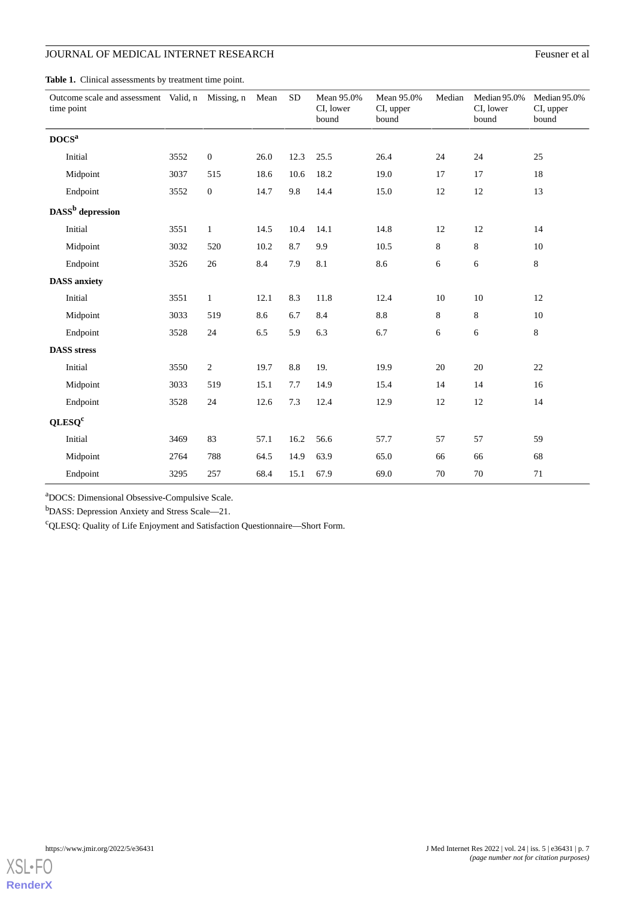# **JOURNAL OF MEDICAL INTERNET RESEARCH** Feusner et al.

<span id="page-6-0"></span>Table 1. Clinical assessments by treatment time point.

| Outcome scale and assessment Valid, n Missing, n<br>time point |      |                  | Mean | <b>SD</b> | Mean 95.0%<br>CI, lower<br>bound | Mean 95.0%<br>CI, upper<br>bound | Median | Median 95.0%<br>CI, lower<br>bound | Median 95.0%<br>CI, upper<br>bound |  |
|----------------------------------------------------------------|------|------------------|------|-----------|----------------------------------|----------------------------------|--------|------------------------------------|------------------------------------|--|
| $\tt DOCSa$                                                    |      |                  |      |           |                                  |                                  |        |                                    |                                    |  |
| Initial                                                        | 3552 | $\boldsymbol{0}$ | 26.0 | 12.3      | 25.5                             | 26.4                             | 24     | 24                                 | 25                                 |  |
| Midpoint                                                       | 3037 | 515              | 18.6 | 10.6      | 18.2                             | 19.0                             | 17     | 17<br>18                           |                                    |  |
| Endpoint                                                       | 3552 | $\boldsymbol{0}$ | 14.7 | 9.8       | 14.4                             | 15.0                             | $12\,$ | 12                                 | 13                                 |  |
| DASS <sup>b</sup> depression                                   |      |                  |      |           |                                  |                                  |        |                                    |                                    |  |
| Initial                                                        | 3551 | $\mathbf{1}$     | 14.5 | 10.4      | 14.1                             | 14.8                             | 12     | 12                                 | 14                                 |  |
| Midpoint                                                       | 3032 | 520              | 10.2 | 8.7       | 9.9                              | 10.5                             | 8      | 8                                  | 10                                 |  |
| Endpoint                                                       | 3526 | 26               | 8.4  | 7.9       | 8.1                              | 8.6                              | 6      | 6                                  | $8\,$                              |  |
| <b>DASS</b> anxiety                                            |      |                  |      |           |                                  |                                  |        |                                    |                                    |  |
| Initial                                                        | 3551 | $\mathbf{1}$     | 12.1 | 8.3       | 11.8                             | 12.4                             | $10\,$ | 10                                 | 12                                 |  |
| Midpoint                                                       | 3033 | 519              | 8.6  | 6.7       | 8.4                              | 8.8                              | 8      | 8                                  | 10                                 |  |
| Endpoint                                                       | 3528 | 24               | 6.5  | 5.9       | 6.3                              | 6.7                              | 6      | 6                                  | $8\,$                              |  |
| <b>DASS</b> stress                                             |      |                  |      |           |                                  |                                  |        |                                    |                                    |  |
| Initial                                                        | 3550 | $\sqrt{2}$       | 19.7 | 8.8       | 19.                              | 19.9                             | 20     | 20                                 | $22\,$                             |  |
| Midpoint                                                       | 3033 | 519              | 15.1 | 7.7       | 14.9                             | 15.4                             | 14     | 14                                 | 16                                 |  |
| Endpoint                                                       | 3528 | 24               | 12.6 | 7.3       | 12.4                             | 12.9                             | 12     | 12                                 | 14                                 |  |
| QLESQ <sup>c</sup>                                             |      |                  |      |           |                                  |                                  |        |                                    |                                    |  |
| Initial                                                        | 3469 | 83               | 57.1 | 16.2      | 56.6                             | 57.7                             | 57     | 57                                 | 59                                 |  |
| Midpoint                                                       | 2764 | 788              | 64.5 | 14.9      | 63.9                             | 65.0                             | 66     | 66                                 | 68                                 |  |
| Endpoint                                                       | 3295 | 257              | 68.4 | 15.1      | 67.9                             | 69.0                             | $70\,$ | 70                                 | 71                                 |  |

<sup>a</sup>DOCS: Dimensional Obsessive-Compulsive Scale.

<sup>b</sup>DASS: Depression Anxiety and Stress Scale—21.

 $\mathrm{^{c}QLESQ:}$  Quality of Life Enjoyment and Satisfaction Questionnaire—Short Form.

**[RenderX](http://www.renderx.com/)**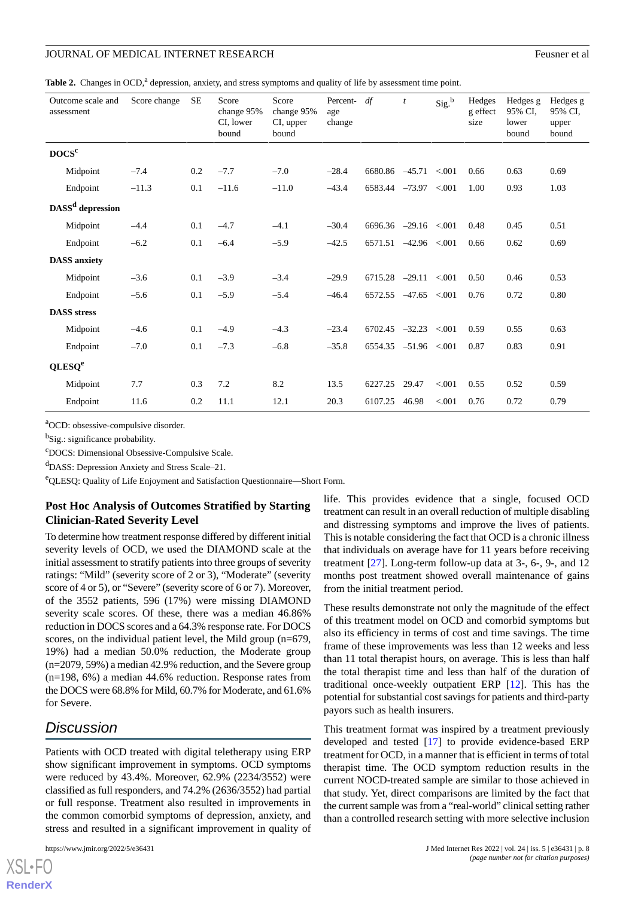<span id="page-7-0"></span>

| Outcome scale and<br>assessment | Score change | SE  | Score<br>change 95%<br>CI, lower<br>bound | Score<br>change 95%<br>CI, upper<br>bound | Percent-<br>age<br>change | df                          | $\boldsymbol{t}$   | Sig. <sup>b</sup> | Hedges<br>g effect<br>size | Hedges g<br>95% CI.<br>lower<br>bound | Hedges g<br>95% CI.<br>upper<br>bound |
|---------------------------------|--------------|-----|-------------------------------------------|-------------------------------------------|---------------------------|-----------------------------|--------------------|-------------------|----------------------------|---------------------------------------|---------------------------------------|
| $\tt DOCSc$                     |              |     |                                           |                                           |                           |                             |                    |                   |                            |                                       |                                       |
| Midpoint                        | $-7.4$       | 0.2 | $-7.7$                                    | $-7.0$                                    | $-28.4$                   | 6680.86                     | $-45.71$           | < 0.001           | 0.66                       | 0.63                                  | 0.69                                  |
| Endpoint                        | $-11.3$      | 0.1 | $-11.6$                                   | $-11.0$                                   | $-43.4$                   | 6583.44                     | $-73.97$ < 001     |                   | 1.00                       | 0.93                                  | 1.03                                  |
| DASS <sup>d</sup> depression    |              |     |                                           |                                           |                           |                             |                    |                   |                            |                                       |                                       |
| Midpoint                        | $-4.4$       | 0.1 | $-4.7$                                    | $-4.1$                                    | $-30.4$                   | $6696.36$ $-29.16$ $< 0.01$ |                    |                   | 0.48                       | 0.45                                  | 0.51                                  |
| Endpoint                        | $-6.2$       | 0.1 | $-6.4$                                    | $-5.9$                                    | $-42.5$                   | 6571.51                     | $-42.96 \le 0.001$ |                   | 0.66                       | 0.62                                  | 0.69                                  |
| <b>DASS</b> anxiety             |              |     |                                           |                                           |                           |                             |                    |                   |                            |                                       |                                       |
| Midpoint                        | $-3.6$       | 0.1 | $-3.9$                                    | $-3.4$                                    | $-29.9$                   | 6715.28                     | $-29.11$           | < 0.001           | 0.50                       | 0.46                                  | 0.53                                  |
| Endpoint                        | $-5.6$       | 0.1 | $-5.9$                                    | $-5.4$                                    | $-46.4$                   | 6572.55                     | $-47.65$           | < 0.001           | 0.76                       | 0.72                                  | 0.80                                  |
| <b>DASS</b> stress              |              |     |                                           |                                           |                           |                             |                    |                   |                            |                                       |                                       |
| Midpoint                        | $-4.6$       | 0.1 | $-4.9$                                    | $-4.3$                                    | $-23.4$                   | 6702.45                     | $-32.23$           | < 0.001           | 0.59                       | 0.55                                  | 0.63                                  |
| Endpoint                        | $-7.0$       | 0.1 | $-7.3$                                    | $-6.8$                                    | $-35.8$                   | 6554.35                     | $-51.96 \le 0.001$ |                   | 0.87                       | 0.83                                  | 0.91                                  |
| QLESQ <sup>e</sup>              |              |     |                                           |                                           |                           |                             |                    |                   |                            |                                       |                                       |
| Midpoint                        | 7.7          | 0.3 | 7.2                                       | 8.2                                       | 13.5                      | 6227.25                     | 29.47              | < 0.001           | 0.55                       | 0.52                                  | 0.59                                  |
| Endpoint                        | 11.6         | 0.2 | 11.1                                      | 12.1                                      | 20.3                      | 6107.25                     | 46.98              | < 0.001           | 0.76                       | 0.72                                  | 0.79                                  |

<sup>a</sup>OCD: obsessive-compulsive disorder.

<sup>b</sup>Sig.: significance probability.

<sup>c</sup>DOCS: Dimensional Obsessive-Compulsive Scale.

<sup>d</sup>DASS: Depression Anxiety and Stress Scale–21.

<sup>e</sup>QLESQ: Quality of Life Enjoyment and Satisfaction Questionnaire—Short Form.

#### **Post Hoc Analysis of Outcomes Stratified by Starting Clinician-Rated Severity Level**

To determine how treatment response differed by different initial severity levels of OCD, we used the DIAMOND scale at the initial assessment to stratify patients into three groups of severity ratings: "Mild" (severity score of 2 or 3), "Moderate" (severity score of 4 or 5), or "Severe" (severity score of 6 or 7). Moreover, of the 3552 patients, 596 (17%) were missing DIAMOND severity scale scores. Of these, there was a median 46.86% reduction in DOCS scores and a 64.3% response rate. For DOCS scores, on the individual patient level, the Mild group (n=679, 19%) had a median 50.0% reduction, the Moderate group (n=2079, 59%) a median 42.9% reduction, and the Severe group (n=198, 6%) a median 44.6% reduction. Response rates from the DOCS were 68.8% for Mild, 60.7% for Moderate, and 61.6% for Severe.

# *Discussion*

Patients with OCD treated with digital teletherapy using ERP show significant improvement in symptoms. OCD symptoms were reduced by 43.4%. Moreover, 62.9% (2234/3552) were classified as full responders, and 74.2% (2636/3552) had partial or full response. Treatment also resulted in improvements in the common comorbid symptoms of depression, anxiety, and stress and resulted in a significant improvement in quality of

life. This provides evidence that a single, focused OCD treatment can result in an overall reduction of multiple disabling and distressing symptoms and improve the lives of patients. This is notable considering the fact that OCD is a chronic illness that individuals on average have for 11 years before receiving treatment [[27\]](#page-10-16). Long-term follow-up data at 3-, 6-, 9-, and 12 months post treatment showed overall maintenance of gains from the initial treatment period.

These results demonstrate not only the magnitude of the effect of this treatment model on OCD and comorbid symptoms but also its efficiency in terms of cost and time savings. The time frame of these improvements was less than 12 weeks and less than 11 total therapist hours, on average. This is less than half the total therapist time and less than half of the duration of traditional once-weekly outpatient ERP [\[12](#page-10-2)]. This has the potential for substantial cost savings for patients and third-party payors such as health insurers.

This treatment format was inspired by a treatment previously developed and tested [[17\]](#page-10-7) to provide evidence-based ERP treatment for OCD, in a manner that is efficient in terms of total therapist time. The OCD symptom reduction results in the current NOCD-treated sample are similar to those achieved in that study. Yet, direct comparisons are limited by the fact that the current sample was from a "real-world" clinical setting rather than a controlled research setting with more selective inclusion

```
XS • FC
RenderX
```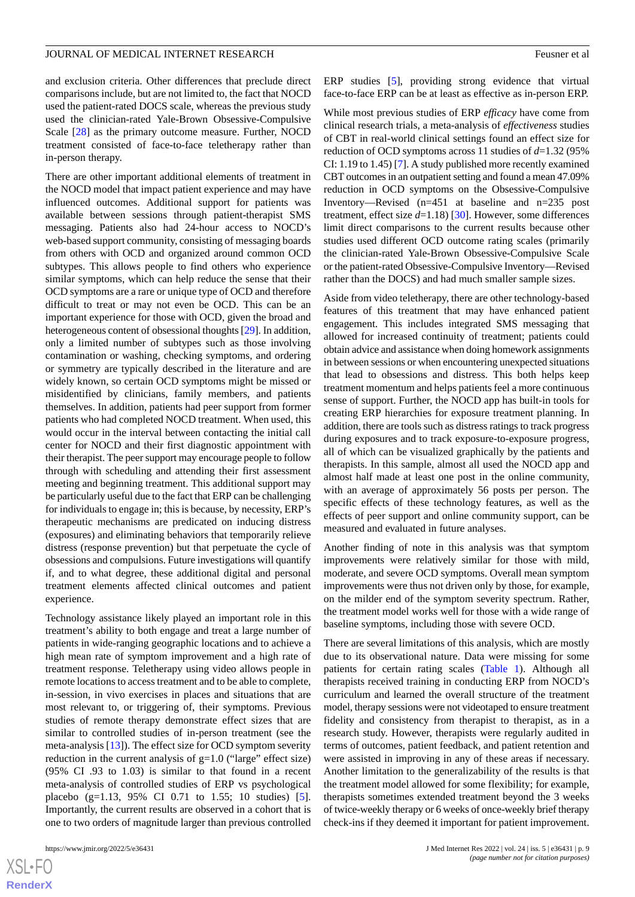and exclusion criteria. Other differences that preclude direct comparisons include, but are not limited to, the fact that NOCD used the patient-rated DOCS scale, whereas the previous study used the clinician-rated Yale-Brown Obsessive-Compulsive Scale [\[28](#page-10-17)] as the primary outcome measure. Further, NOCD treatment consisted of face-to-face teletherapy rather than in-person therapy.

There are other important additional elements of treatment in the NOCD model that impact patient experience and may have influenced outcomes. Additional support for patients was available between sessions through patient-therapist SMS messaging. Patients also had 24-hour access to NOCD's web-based support community, consisting of messaging boards from others with OCD and organized around common OCD subtypes. This allows people to find others who experience similar symptoms, which can help reduce the sense that their OCD symptoms are a rare or unique type of OCD and therefore difficult to treat or may not even be OCD. This can be an important experience for those with OCD, given the broad and heterogeneous content of obsessional thoughts [\[29](#page-10-18)]. In addition, only a limited number of subtypes such as those involving contamination or washing, checking symptoms, and ordering or symmetry are typically described in the literature and are widely known, so certain OCD symptoms might be missed or misidentified by clinicians, family members, and patients themselves. In addition, patients had peer support from former patients who had completed NOCD treatment. When used, this would occur in the interval between contacting the initial call center for NOCD and their first diagnostic appointment with their therapist. The peer support may encourage people to follow through with scheduling and attending their first assessment meeting and beginning treatment. This additional support may be particularly useful due to the fact that ERP can be challenging for individuals to engage in; this is because, by necessity, ERP's therapeutic mechanisms are predicated on inducing distress (exposures) and eliminating behaviors that temporarily relieve distress (response prevention) but that perpetuate the cycle of obsessions and compulsions. Future investigations will quantify if, and to what degree, these additional digital and personal treatment elements affected clinical outcomes and patient experience.

Technology assistance likely played an important role in this treatment's ability to both engage and treat a large number of patients in wide-ranging geographic locations and to achieve a high mean rate of symptom improvement and a high rate of treatment response. Teletherapy using video allows people in remote locations to access treatment and to be able to complete, in-session, in vivo exercises in places and situations that are most relevant to, or triggering of, their symptoms. Previous studies of remote therapy demonstrate effect sizes that are similar to controlled studies of in-person treatment (see the meta-analysis [[13\]](#page-10-3)). The effect size for OCD symptom severity reduction in the current analysis of  $g=1.0$  ("large" effect size) (95% CI .93 to 1.03) is similar to that found in a recent meta-analysis of controlled studies of ERP vs psychological placebo (g=1.13, 95% CI 0.71 to 1.55; 10 studies) [[5\]](#page-9-7). Importantly, the current results are observed in a cohort that is one to two orders of magnitude larger than previous controlled

 $XS$ -FO **[RenderX](http://www.renderx.com/)** ERP studies [[5](#page-9-7)], providing strong evidence that virtual face-to-face ERP can be at least as effective as in-person ERP.

While most previous studies of ERP *efficacy* have come from clinical research trials, a meta-analysis of *effectiveness* studies of CBT in real-world clinical settings found an effect size for reduction of OCD symptoms across 11 studies of *d*=1.32 (95% CI: 1.19 to 1.45) [[7\]](#page-9-3). A study published more recently examined CBT outcomes in an outpatient setting and found a mean 47.09% reduction in OCD symptoms on the Obsessive-Compulsive Inventory—Revised (n=451 at baseline and n=235 post treatment, effect size *d*=1.18) [\[30](#page-10-19)]. However, some differences limit direct comparisons to the current results because other studies used different OCD outcome rating scales (primarily the clinician-rated Yale-Brown Obsessive-Compulsive Scale or the patient-rated Obsessive-Compulsive Inventory—Revised rather than the DOCS) and had much smaller sample sizes.

Aside from video teletherapy, there are other technology-based features of this treatment that may have enhanced patient engagement. This includes integrated SMS messaging that allowed for increased continuity of treatment; patients could obtain advice and assistance when doing homework assignments in between sessions or when encountering unexpected situations that lead to obsessions and distress. This both helps keep treatment momentum and helps patients feel a more continuous sense of support. Further, the NOCD app has built-in tools for creating ERP hierarchies for exposure treatment planning. In addition, there are tools such as distress ratings to track progress during exposures and to track exposure-to-exposure progress, all of which can be visualized graphically by the patients and therapists. In this sample, almost all used the NOCD app and almost half made at least one post in the online community, with an average of approximately 56 posts per person. The specific effects of these technology features, as well as the effects of peer support and online community support, can be measured and evaluated in future analyses.

Another finding of note in this analysis was that symptom improvements were relatively similar for those with mild, moderate, and severe OCD symptoms. Overall mean symptom improvements were thus not driven only by those, for example, on the milder end of the symptom severity spectrum. Rather, the treatment model works well for those with a wide range of baseline symptoms, including those with severe OCD.

There are several limitations of this analysis, which are mostly due to its observational nature. Data were missing for some patients for certain rating scales [\(Table 1](#page-6-0)). Although all therapists received training in conducting ERP from NOCD's curriculum and learned the overall structure of the treatment model, therapy sessions were not videotaped to ensure treatment fidelity and consistency from therapist to therapist, as in a research study. However, therapists were regularly audited in terms of outcomes, patient feedback, and patient retention and were assisted in improving in any of these areas if necessary. Another limitation to the generalizability of the results is that the treatment model allowed for some flexibility; for example, therapists sometimes extended treatment beyond the 3 weeks of twice-weekly therapy or 6 weeks of once-weekly brief therapy check-ins if they deemed it important for patient improvement.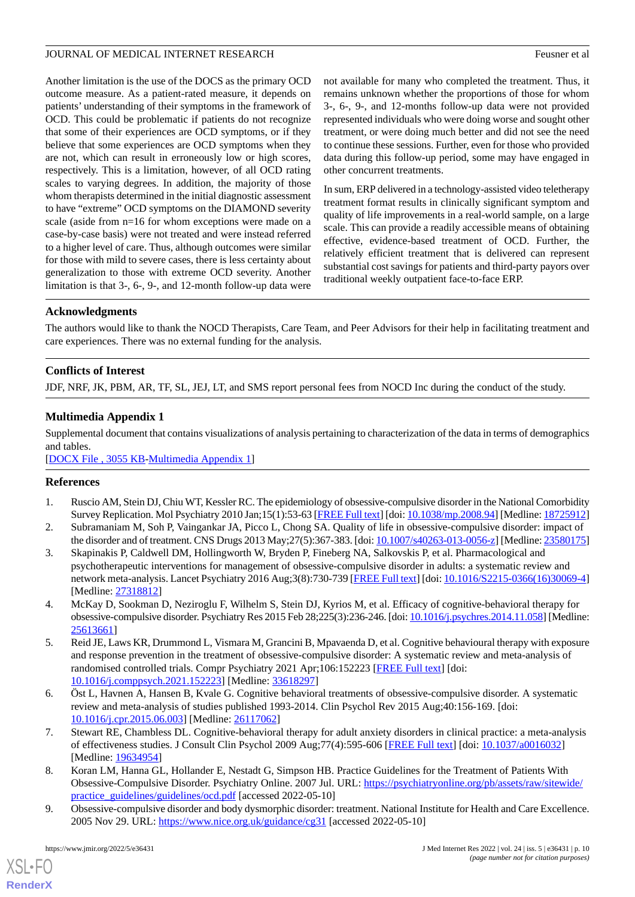Another limitation is the use of the DOCS as the primary OCD outcome measure. As a patient-rated measure, it depends on patients' understanding of their symptoms in the framework of OCD. This could be problematic if patients do not recognize that some of their experiences are OCD symptoms, or if they believe that some experiences are OCD symptoms when they are not, which can result in erroneously low or high scores, respectively. This is a limitation, however, of all OCD rating scales to varying degrees. In addition, the majority of those whom therapists determined in the initial diagnostic assessment to have "extreme" OCD symptoms on the DIAMOND severity scale (aside from n=16 for whom exceptions were made on a case-by-case basis) were not treated and were instead referred to a higher level of care. Thus, although outcomes were similar for those with mild to severe cases, there is less certainty about generalization to those with extreme OCD severity. Another limitation is that 3-, 6-, 9-, and 12-month follow-up data were not available for many who completed the treatment. Thus, it remains unknown whether the proportions of those for whom 3-, 6-, 9-, and 12-months follow-up data were not provided represented individuals who were doing worse and sought other treatment, or were doing much better and did not see the need to continue these sessions. Further, even for those who provided data during this follow-up period, some may have engaged in other concurrent treatments.

In sum, ERP delivered in a technology-assisted video teletherapy treatment format results in clinically significant symptom and quality of life improvements in a real-world sample, on a large scale. This can provide a readily accessible means of obtaining effective, evidence-based treatment of OCD. Further, the relatively efficient treatment that is delivered can represent substantial cost savings for patients and third-party payors over traditional weekly outpatient face-to-face ERP.

# **Acknowledgments**

The authors would like to thank the NOCD Therapists, Care Team, and Peer Advisors for their help in facilitating treatment and care experiences. There was no external funding for the analysis.

# <span id="page-9-6"></span>**Conflicts of Interest**

JDF, NRF, JK, PBM, AR, TF, SL, JEJ, LT, and SMS report personal fees from NOCD Inc during the conduct of the study.

# **Multimedia Appendix 1**

Supplemental document that contains visualizations of analysis pertaining to characterization of the data in terms of demographics and tables.

<span id="page-9-0"></span>[[DOCX File , 3055 KB](https://jmir.org/api/download?alt_name=jmir_v24i5e36431_app1.docx&filename=7716167743f8ebacc907cac2adaa857d.docx)-[Multimedia Appendix 1\]](https://jmir.org/api/download?alt_name=jmir_v24i5e36431_app1.docx&filename=7716167743f8ebacc907cac2adaa857d.docx)

### <span id="page-9-1"></span>**References**

- <span id="page-9-2"></span>1. Ruscio AM, Stein DJ, Chiu WT, Kessler RC. The epidemiology of obsessive-compulsive disorder in the National Comorbidity Survey Replication. Mol Psychiatry 2010 Jan;15(1):53-63 [[FREE Full text](http://europepmc.org/abstract/MED/18725912)] [doi: [10.1038/mp.2008.94\]](http://dx.doi.org/10.1038/mp.2008.94) [Medline: [18725912\]](http://www.ncbi.nlm.nih.gov/entrez/query.fcgi?cmd=Retrieve&db=PubMed&list_uids=18725912&dopt=Abstract)
- 2. Subramaniam M, Soh P, Vaingankar JA, Picco L, Chong SA. Quality of life in obsessive-compulsive disorder: impact of the disorder and of treatment. CNS Drugs 2013 May;27(5):367-383. [doi: [10.1007/s40263-013-0056-z](http://dx.doi.org/10.1007/s40263-013-0056-z)] [Medline: [23580175\]](http://www.ncbi.nlm.nih.gov/entrez/query.fcgi?cmd=Retrieve&db=PubMed&list_uids=23580175&dopt=Abstract)
- <span id="page-9-7"></span>3. Skapinakis P, Caldwell DM, Hollingworth W, Bryden P, Fineberg NA, Salkovskis P, et al. Pharmacological and psychotherapeutic interventions for management of obsessive-compulsive disorder in adults: a systematic review and network meta-analysis. Lancet Psychiatry 2016 Aug;3(8):730-739 [[FREE Full text](https://linkinghub.elsevier.com/retrieve/pii/S2215-0366(16)30069-4)] [doi: [10.1016/S2215-0366\(16\)30069-4\]](http://dx.doi.org/10.1016/S2215-0366(16)30069-4) [Medline: [27318812](http://www.ncbi.nlm.nih.gov/entrez/query.fcgi?cmd=Retrieve&db=PubMed&list_uids=27318812&dopt=Abstract)]
- 4. McKay D, Sookman D, Neziroglu F, Wilhelm S, Stein DJ, Kyrios M, et al. Efficacy of cognitive-behavioral therapy for obsessive-compulsive disorder. Psychiatry Res 2015 Feb 28;225(3):236-246. [doi: [10.1016/j.psychres.2014.11.058](http://dx.doi.org/10.1016/j.psychres.2014.11.058)] [Medline: [25613661](http://www.ncbi.nlm.nih.gov/entrez/query.fcgi?cmd=Retrieve&db=PubMed&list_uids=25613661&dopt=Abstract)]
- <span id="page-9-3"></span>5. Reid JE, Laws KR, Drummond L, Vismara M, Grancini B, Mpavaenda D, et al. Cognitive behavioural therapy with exposure and response prevention in the treatment of obsessive-compulsive disorder: A systematic review and meta-analysis of randomised controlled trials. Compr Psychiatry 2021 Apr;106:152223 [\[FREE Full text\]](https://linkinghub.elsevier.com/retrieve/pii/S0010-440X(21)00001-8) [doi: [10.1016/j.comppsych.2021.152223\]](http://dx.doi.org/10.1016/j.comppsych.2021.152223) [Medline: [33618297](http://www.ncbi.nlm.nih.gov/entrez/query.fcgi?cmd=Retrieve&db=PubMed&list_uids=33618297&dopt=Abstract)]
- <span id="page-9-4"></span>6. Öst L, Havnen A, Hansen B, Kvale G. Cognitive behavioral treatments of obsessive-compulsive disorder. A systematic review and meta-analysis of studies published 1993-2014. Clin Psychol Rev 2015 Aug;40:156-169. [doi: [10.1016/j.cpr.2015.06.003\]](http://dx.doi.org/10.1016/j.cpr.2015.06.003) [Medline: [26117062\]](http://www.ncbi.nlm.nih.gov/entrez/query.fcgi?cmd=Retrieve&db=PubMed&list_uids=26117062&dopt=Abstract)
- <span id="page-9-5"></span>7. Stewart RE, Chambless DL. Cognitive-behavioral therapy for adult anxiety disorders in clinical practice: a meta-analysis of effectiveness studies. J Consult Clin Psychol 2009 Aug;77(4):595-606 [\[FREE Full text\]](http://europepmc.org/abstract/MED/19634954) [doi: [10.1037/a0016032](http://dx.doi.org/10.1037/a0016032)] [Medline: [19634954](http://www.ncbi.nlm.nih.gov/entrez/query.fcgi?cmd=Retrieve&db=PubMed&list_uids=19634954&dopt=Abstract)]
- 8. Koran LM, Hanna GL, Hollander E, Nestadt G, Simpson HB. Practice Guidelines for the Treatment of Patients With Obsessive-Compulsive Disorder. Psychiatry Online. 2007 Jul. URL: [https://psychiatryonline.org/pb/assets/raw/sitewide/](https://psychiatryonline.org/pb/assets/raw/sitewide/practice_guidelines/guidelines/ocd.pdf) [practice\\_guidelines/guidelines/ocd.pdf](https://psychiatryonline.org/pb/assets/raw/sitewide/practice_guidelines/guidelines/ocd.pdf) [accessed 2022-05-10]
- 9. Obsessive-compulsive disorder and body dysmorphic disorder: treatment. National Institute for Health and Care Excellence. 2005 Nov 29. URL: <https://www.nice.org.uk/guidance/cg31> [accessed 2022-05-10]

[XSL](http://www.w3.org/Style/XSL)•FO **[RenderX](http://www.renderx.com/)**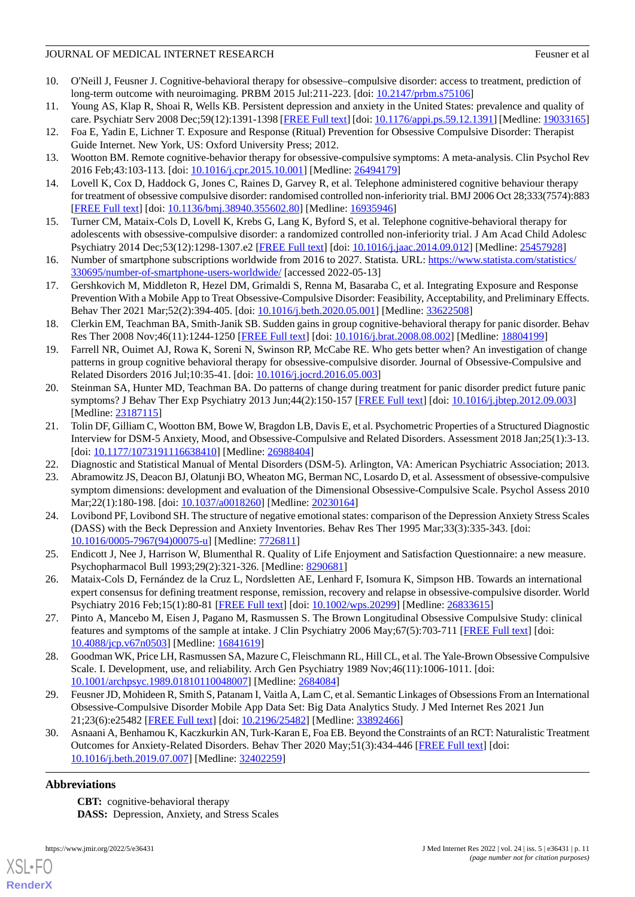- <span id="page-10-0"></span>10. O'Neill J, Feusner J. Cognitive-behavioral therapy for obsessive–compulsive disorder: access to treatment, prediction of long-term outcome with neuroimaging. PRBM 2015 Jul:211-223. [doi: [10.2147/prbm.s75106\]](http://dx.doi.org/10.2147/prbm.s75106)
- <span id="page-10-2"></span><span id="page-10-1"></span>11. Young AS, Klap R, Shoai R, Wells KB. Persistent depression and anxiety in the United States: prevalence and quality of care. Psychiatr Serv 2008 Dec;59(12):1391-1398 [[FREE Full text](http://europepmc.org/abstract/MED/19033165)] [doi: [10.1176/appi.ps.59.12.1391\]](http://dx.doi.org/10.1176/appi.ps.59.12.1391) [Medline: [19033165](http://www.ncbi.nlm.nih.gov/entrez/query.fcgi?cmd=Retrieve&db=PubMed&list_uids=19033165&dopt=Abstract)]
- <span id="page-10-3"></span>12. Foa E, Yadin E, Lichner T. Exposure and Response (Ritual) Prevention for Obsessive Compulsive Disorder: Therapist Guide Internet. New York, US: Oxford University Press; 2012.
- <span id="page-10-4"></span>13. Wootton BM. Remote cognitive-behavior therapy for obsessive-compulsive symptoms: A meta-analysis. Clin Psychol Rev 2016 Feb;43:103-113. [doi: [10.1016/j.cpr.2015.10.001\]](http://dx.doi.org/10.1016/j.cpr.2015.10.001) [Medline: [26494179](http://www.ncbi.nlm.nih.gov/entrez/query.fcgi?cmd=Retrieve&db=PubMed&list_uids=26494179&dopt=Abstract)]
- <span id="page-10-5"></span>14. Lovell K, Cox D, Haddock G, Jones C, Raines D, Garvey R, et al. Telephone administered cognitive behaviour therapy for treatment of obsessive compulsive disorder: randomised controlled non-inferiority trial. BMJ 2006 Oct 28;333(7574):883 [[FREE Full text](http://europepmc.org/abstract/MED/16935946)] [doi: [10.1136/bmj.38940.355602.80\]](http://dx.doi.org/10.1136/bmj.38940.355602.80) [Medline: [16935946\]](http://www.ncbi.nlm.nih.gov/entrez/query.fcgi?cmd=Retrieve&db=PubMed&list_uids=16935946&dopt=Abstract)
- <span id="page-10-6"></span>15. Turner CM, Mataix-Cols D, Lovell K, Krebs G, Lang K, Byford S, et al. Telephone cognitive-behavioral therapy for adolescents with obsessive-compulsive disorder: a randomized controlled non-inferiority trial. J Am Acad Child Adolesc Psychiatry 2014 Dec;53(12):1298-1307.e2 [\[FREE Full text\]](https://linkinghub.elsevier.com/retrieve/pii/S0890-8567(14)00664-9) [doi: [10.1016/j.jaac.2014.09.012\]](http://dx.doi.org/10.1016/j.jaac.2014.09.012) [Medline: [25457928\]](http://www.ncbi.nlm.nih.gov/entrez/query.fcgi?cmd=Retrieve&db=PubMed&list_uids=25457928&dopt=Abstract)
- <span id="page-10-7"></span>16. Number of smartphone subscriptions worldwide from 2016 to 2027. Statista. URL: [https://www.statista.com/statistics/](https://www.statista.com/statistics/330695/number-of-smartphone-users-worldwide/) [330695/number-of-smartphone-users-worldwide/](https://www.statista.com/statistics/330695/number-of-smartphone-users-worldwide/) [accessed 2022-05-13]
- <span id="page-10-8"></span>17. Gershkovich M, Middleton R, Hezel DM, Grimaldi S, Renna M, Basaraba C, et al. Integrating Exposure and Response Prevention With a Mobile App to Treat Obsessive-Compulsive Disorder: Feasibility, Acceptability, and Preliminary Effects. Behav Ther 2021 Mar;52(2):394-405. [doi: [10.1016/j.beth.2020.05.001](http://dx.doi.org/10.1016/j.beth.2020.05.001)] [Medline: [33622508\]](http://www.ncbi.nlm.nih.gov/entrez/query.fcgi?cmd=Retrieve&db=PubMed&list_uids=33622508&dopt=Abstract)
- 18. Clerkin EM, Teachman BA, Smith-Janik SB. Sudden gains in group cognitive-behavioral therapy for panic disorder. Behav Res Ther 2008 Nov;46(11):1244-1250 [\[FREE Full text\]](http://europepmc.org/abstract/MED/18804199) [doi: [10.1016/j.brat.2008.08.002\]](http://dx.doi.org/10.1016/j.brat.2008.08.002) [Medline: [18804199](http://www.ncbi.nlm.nih.gov/entrez/query.fcgi?cmd=Retrieve&db=PubMed&list_uids=18804199&dopt=Abstract)]
- <span id="page-10-9"></span>19. Farrell NR, Ouimet AJ, Rowa K, Soreni N, Swinson RP, McCabe RE. Who gets better when? An investigation of change patterns in group cognitive behavioral therapy for obsessive-compulsive disorder. Journal of Obsessive-Compulsive and Related Disorders 2016 Jul;10:35-41. [doi: [10.1016/j.jocrd.2016.05.003](http://dx.doi.org/10.1016/j.jocrd.2016.05.003)]
- <span id="page-10-10"></span>20. Steinman SA, Hunter MD, Teachman BA. Do patterns of change during treatment for panic disorder predict future panic symptoms? J Behav Ther Exp Psychiatry 2013 Jun;44(2):150-157 [\[FREE Full text\]](http://europepmc.org/abstract/MED/23187115) [doi: [10.1016/j.jbtep.2012.09.003](http://dx.doi.org/10.1016/j.jbtep.2012.09.003)] [Medline: [23187115](http://www.ncbi.nlm.nih.gov/entrez/query.fcgi?cmd=Retrieve&db=PubMed&list_uids=23187115&dopt=Abstract)]
- <span id="page-10-12"></span><span id="page-10-11"></span>21. Tolin DF, Gilliam C, Wootton BM, Bowe W, Bragdon LB, Davis E, et al. Psychometric Properties of a Structured Diagnostic Interview for DSM-5 Anxiety, Mood, and Obsessive-Compulsive and Related Disorders. Assessment 2018 Jan;25(1):3-13. [doi: [10.1177/1073191116638410](http://dx.doi.org/10.1177/1073191116638410)] [Medline: [26988404\]](http://www.ncbi.nlm.nih.gov/entrez/query.fcgi?cmd=Retrieve&db=PubMed&list_uids=26988404&dopt=Abstract)
- <span id="page-10-13"></span>22. Diagnostic and Statistical Manual of Mental Disorders (DSM-5). Arlington, VA: American Psychiatric Association; 2013.
- 23. Abramowitz JS, Deacon BJ, Olatunji BO, Wheaton MG, Berman NC, Losardo D, et al. Assessment of obsessive-compulsive symptom dimensions: development and evaluation of the Dimensional Obsessive-Compulsive Scale. Psychol Assess 2010 Mar; 22(1):180-198. [doi: [10.1037/a0018260\]](http://dx.doi.org/10.1037/a0018260) [Medline: [20230164\]](http://www.ncbi.nlm.nih.gov/entrez/query.fcgi?cmd=Retrieve&db=PubMed&list_uids=20230164&dopt=Abstract)
- <span id="page-10-15"></span><span id="page-10-14"></span>24. Lovibond PF, Lovibond SH. The structure of negative emotional states: comparison of the Depression Anxiety Stress Scales (DASS) with the Beck Depression and Anxiety Inventories. Behav Res Ther 1995 Mar;33(3):335-343. [doi: [10.1016/0005-7967\(94\)00075-u](http://dx.doi.org/10.1016/0005-7967(94)00075-u)] [Medline: [7726811\]](http://www.ncbi.nlm.nih.gov/entrez/query.fcgi?cmd=Retrieve&db=PubMed&list_uids=7726811&dopt=Abstract)
- <span id="page-10-16"></span>25. Endicott J, Nee J, Harrison W, Blumenthal R. Quality of Life Enjoyment and Satisfaction Questionnaire: a new measure. Psychopharmacol Bull 1993;29(2):321-326. [Medline: [8290681](http://www.ncbi.nlm.nih.gov/entrez/query.fcgi?cmd=Retrieve&db=PubMed&list_uids=8290681&dopt=Abstract)]
- <span id="page-10-17"></span>26. Mataix-Cols D, Fernández de la Cruz L, Nordsletten AE, Lenhard F, Isomura K, Simpson HB. Towards an international expert consensus for defining treatment response, remission, recovery and relapse in obsessive-compulsive disorder. World Psychiatry 2016 Feb;15(1):80-81 [\[FREE Full text\]](https://doi.org/10.1002/wps.20299) [doi: [10.1002/wps.20299\]](http://dx.doi.org/10.1002/wps.20299) [Medline: [26833615](http://www.ncbi.nlm.nih.gov/entrez/query.fcgi?cmd=Retrieve&db=PubMed&list_uids=26833615&dopt=Abstract)]
- <span id="page-10-18"></span>27. Pinto A, Mancebo M, Eisen J, Pagano M, Rasmussen S. The Brown Longitudinal Obsessive Compulsive Study: clinical features and symptoms of the sample at intake. J Clin Psychiatry 2006 May;67(5):703-711 [[FREE Full text](http://europepmc.org/abstract/MED/16841619)] [doi: [10.4088/jcp.v67n0503](http://dx.doi.org/10.4088/jcp.v67n0503)] [Medline: [16841619](http://www.ncbi.nlm.nih.gov/entrez/query.fcgi?cmd=Retrieve&db=PubMed&list_uids=16841619&dopt=Abstract)]
- <span id="page-10-19"></span>28. Goodman WK, Price LH, Rasmussen SA, Mazure C, Fleischmann RL, Hill CL, et al. The Yale-Brown Obsessive Compulsive Scale. I. Development, use, and reliability. Arch Gen Psychiatry 1989 Nov;46(11):1006-1011. [doi: [10.1001/archpsyc.1989.01810110048007](http://dx.doi.org/10.1001/archpsyc.1989.01810110048007)] [Medline: [2684084](http://www.ncbi.nlm.nih.gov/entrez/query.fcgi?cmd=Retrieve&db=PubMed&list_uids=2684084&dopt=Abstract)]
- 29. Feusner JD, Mohideen R, Smith S, Patanam I, Vaitla A, Lam C, et al. Semantic Linkages of Obsessions From an International Obsessive-Compulsive Disorder Mobile App Data Set: Big Data Analytics Study. J Med Internet Res 2021 Jun 21;23(6):e25482 [\[FREE Full text](https://www.jmir.org/2021/6/e25482/)] [doi: [10.2196/25482\]](http://dx.doi.org/10.2196/25482) [Medline: [33892466\]](http://www.ncbi.nlm.nih.gov/entrez/query.fcgi?cmd=Retrieve&db=PubMed&list_uids=33892466&dopt=Abstract)
- 30. Asnaani A, Benhamou K, Kaczkurkin AN, Turk-Karan E, Foa EB. Beyond the Constraints of an RCT: Naturalistic Treatment Outcomes for Anxiety-Related Disorders. Behav Ther 2020 May;51(3):434-446 [[FREE Full text](http://europepmc.org/abstract/MED/32402259)] [doi: [10.1016/j.beth.2019.07.007\]](http://dx.doi.org/10.1016/j.beth.2019.07.007) [Medline: [32402259\]](http://www.ncbi.nlm.nih.gov/entrez/query.fcgi?cmd=Retrieve&db=PubMed&list_uids=32402259&dopt=Abstract)

### **Abbreviations**

[XSL](http://www.w3.org/Style/XSL)•FO **[RenderX](http://www.renderx.com/)**

**CBT:** cognitive-behavioral therapy **DASS:** Depression, Anxiety, and Stress Scales